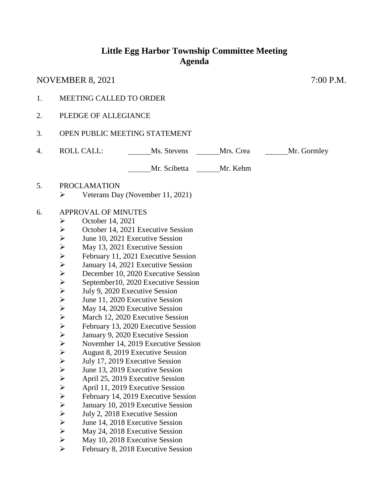# **Little Egg Harbor Township Committee Meeting Agenda**

|    |                               |              |           | .           |
|----|-------------------------------|--------------|-----------|-------------|
| 1. | MEETING CALLED TO ORDER       |              |           |             |
| 2. | PLEDGE OF ALLEGIANCE          |              |           |             |
| 3. | OPEN PUBLIC MEETING STATEMENT |              |           |             |
| 4. | ROLL CALL:                    | Ms. Stevens  | Mrs. Crea | Mr. Gormley |
|    |                               | Mr. Scibetta | Mr. Kehm  |             |

Mr. Scibetta Mr. Kehm

## 5. PROCLAMATION

 $\triangleright$  Veterans Day (November 11, 2021)

### 6. APPROVAL OF MINUTES

- $\triangleright$  October 14, 2021
- $\triangleright$  October 14, 2021 Executive Session
- $\geq$  June 10, 2021 Executive Session<br> $\geq$  May 13, 2021 Executive Session
- $\triangleright$  May 13, 2021 Executive Session<br>  $\triangleright$  February 11, 2021 Executive Sess
- February 11, 2021 Executive Session
- $\triangleright$  January 14, 2021 Executive Session<br>  $\triangleright$  December 10, 2020 Executive Session
- ▶ <b>December 10, 2020 Executive Session</b><br/>\n<math display="inline">\triangleright</math> September10, 2020 Executive Session
- September10, 2020 Executive Session<br>  $\triangleright$  July 9, 2020 Executive Session
- July 9, 2020 Executive Session
- $\geq$  June 11, 2020 Executive Session<br> $\geq$  May 14, 2020 Executive Session
- $\triangleright$  May 14, 2020 Executive Session<br> $\triangleright$  March 12, 2020 Executive Session
- A March 12, 2020 Executive Session<br>
February 13, 2020 Executive Session
- $\geq$  February 13, 2020 Executive Session<br> $\geq$  January 9, 2020 Executive Session
- 
- > January 9, 2020 Executive Session<br>> November 14, 2019 Executive Sess November 14, 2019 Executive Session<br>  $\geq$  August 8, 2019 Executive Session
- August 8, 2019 Executive Session<br>  $\geq$  July 17, 2019 Executive Session
- $\geq$  July 17, 2019 Executive Session<br> $\geq$  June 13, 2019 Executive Session
- $\geq$  June 13, 2019 Executive Session<br> $\geq$  April 25, 2019 Executive Session
- April 25, 2019 Executive Session<br>
April 11, 2019 Executive Session
- April 11, 2019 Executive Session<br>
February 14, 2019 Executive Sess
- February 14, 2019 Executive Session
- $\geq$  January 10, 2019 Executive Session<br> $\geq$  July 2, 2018 Executive Session
- 
- $\geq$  July 2, 2018 Executive Session<br> $\geq$  June 14, 2018 Executive Session June 14, 2018 Executive Session
- $\triangleright$  May 24, 2018 Executive Session
- $\triangleright$  May 10, 2018 Executive Session
- $\blacktriangleright$  February 8, 2018 Executive Session

NOVEMBER 8, 2021 7:00 P.M.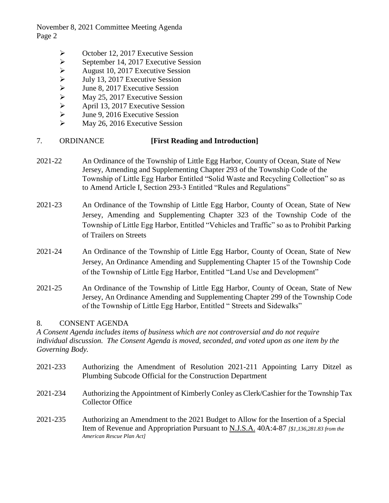November 8, 2021 Committee Meeting Agenda Page 2

- Subsection 2, 2017 Executive Session<br>
September 14, 2017 Executive Session
- 
- September 14, 2017 Executive Session<br>
August 10, 2017 Executive Session<br>
Sully 13, 2017 Executive Session August 10, 2017 Executive Session
- 
- $\blacktriangleright$  July 13, 2017 Executive Session<br> $\blacktriangleright$  June 8, 2017 Executive Session
- $\geq$  June 8, 2017 Executive Session<br> $\geq$  May 25, 2017 Executive Session  $\triangleright$  May 25, 2017 Executive Session<br> $\triangleright$  April 13, 2017 Executive Session
- April 13, 2017 Executive Session
- $\blacktriangleright$  June 9, 2016 Executive Session
- $\triangleright$  May 26, 2016 Executive Session

# 7. ORDINANCE **[First Reading and Introduction]**

- 2021-22 An Ordinance of the Township of Little Egg Harbor, County of Ocean, State of New Jersey, Amending and Supplementing Chapter 293 of the Township Code of the Township of Little Egg Harbor Entitled "Solid Waste and Recycling Collection" so as to Amend Article I, Section 293-3 Entitled "Rules and Regulations"
- 2021-23 An Ordinance of the Township of Little Egg Harbor, County of Ocean, State of New Jersey, Amending and Supplementing Chapter 323 of the Township Code of the Township of Little Egg Harbor, Entitled "Vehicles and Traffic" so as to Prohibit Parking of Trailers on Streets
- 2021-24 An Ordinance of the Township of Little Egg Harbor, County of Ocean, State of New Jersey, An Ordinance Amending and Supplementing Chapter 15 of the Township Code of the Township of Little Egg Harbor, Entitled "Land Use and Development"
- 2021-25 An Ordinance of the Township of Little Egg Harbor, County of Ocean, State of New Jersey, An Ordinance Amending and Supplementing Chapter 299 of the Township Code of the Township of Little Egg Harbor, Entitled " Streets and Sidewalks"

## 8. CONSENT AGENDA

*A Consent Agenda includes items of business which are not controversial and do not require individual discussion. The Consent Agenda is moved, seconded, and voted upon as one item by the Governing Body.* 

2021-233 Authorizing the Amendment of Resolution 2021-211 Appointing Larry Ditzel as Plumbing Subcode Official for the Construction Department 2021-234 Authorizing the Appointment of Kimberly Conley as Clerk/Cashier for the Township Tax Collector Office 2021-235 Authorizing an Amendment to the 2021 Budget to Allow for the Insertion of a Special Item of Revenue and Appropriation Pursuant to N.J.S.A. 40A:4-87 *[\$1,136,281.83 from the American Rescue Plan Act]*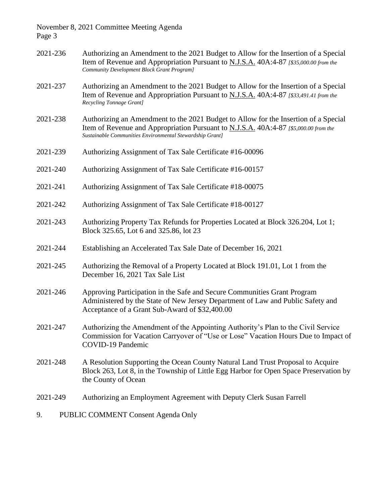| Page 3   | November 8, 2021 Committee Meeting Agenda                                                                                                                                                                                               |  |  |  |
|----------|-----------------------------------------------------------------------------------------------------------------------------------------------------------------------------------------------------------------------------------------|--|--|--|
| 2021-236 | Authorizing an Amendment to the 2021 Budget to Allow for the Insertion of a Special<br>Item of Revenue and Appropriation Pursuant to N.J.S.A. 40A:4-87 [\$35,000.00 from the<br>Community Development Block Grant Program]              |  |  |  |
| 2021-237 | Authorizing an Amendment to the 2021 Budget to Allow for the Insertion of a Special<br>Item of Revenue and Appropriation Pursuant to N.J.S.A. 40A:4-87 [\$33,491.41 from the<br>Recycling Tonnage Grant]                                |  |  |  |
| 2021-238 | Authorizing an Amendment to the 2021 Budget to Allow for the Insertion of a Special<br>Item of Revenue and Appropriation Pursuant to N.J.S.A. 40A:4-87 [\$5,000.00 from the<br>Sustainable Communities Environmental Stewardship Grant] |  |  |  |
| 2021-239 | Authorizing Assignment of Tax Sale Certificate #16-00096                                                                                                                                                                                |  |  |  |
| 2021-240 | Authorizing Assignment of Tax Sale Certificate #16-00157                                                                                                                                                                                |  |  |  |
| 2021-241 | Authorizing Assignment of Tax Sale Certificate #18-00075                                                                                                                                                                                |  |  |  |
| 2021-242 | Authorizing Assignment of Tax Sale Certificate #18-00127                                                                                                                                                                                |  |  |  |
| 2021-243 | Authorizing Property Tax Refunds for Properties Located at Block 326.204, Lot 1;<br>Block 325.65, Lot 6 and 325.86, lot 23                                                                                                              |  |  |  |
| 2021-244 | Establishing an Accelerated Tax Sale Date of December 16, 2021                                                                                                                                                                          |  |  |  |
| 2021-245 | Authorizing the Removal of a Property Located at Block 191.01, Lot 1 from the<br>December 16, 2021 Tax Sale List                                                                                                                        |  |  |  |
| 2021-246 | Approving Participation in the Safe and Secure Communities Grant Program<br>Administered by the State of New Jersey Department of Law and Public Safety and<br>Acceptance of a Grant Sub-Award of \$32,400.00                           |  |  |  |
| 2021-247 | Authorizing the Amendment of the Appointing Authority's Plan to the Civil Service<br>Commission for Vacation Carryover of "Use or Lose" Vacation Hours Due to Impact of<br>COVID-19 Pandemic                                            |  |  |  |
| 2021-248 | A Resolution Supporting the Ocean County Natural Land Trust Proposal to Acquire<br>Block 263, Lot 8, in the Township of Little Egg Harbor for Open Space Preservation by<br>the County of Ocean                                         |  |  |  |
| 2021-249 | Authorizing an Employment Agreement with Deputy Clerk Susan Farrell                                                                                                                                                                     |  |  |  |
| 9.       | PUBLIC COMMENT Consent Agenda Only                                                                                                                                                                                                      |  |  |  |